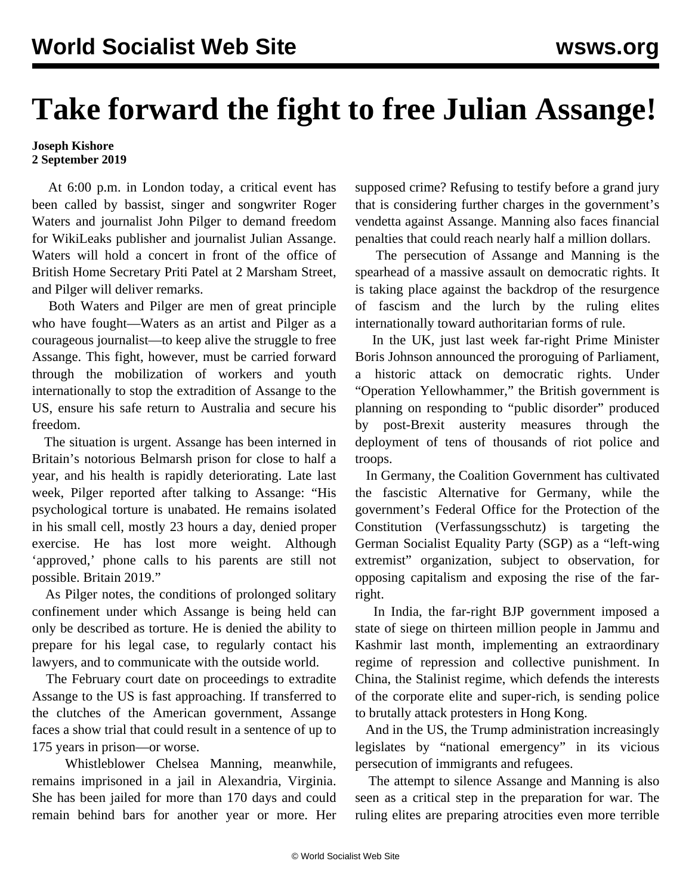## **Take forward the fight to free Julian Assange!**

## **Joseph Kishore 2 September 2019**

 At 6:00 p.m. in London today, a critical event has been called by bassist, singer and songwriter Roger Waters and journalist John Pilger to demand freedom for WikiLeaks publisher and journalist Julian Assange. Waters will hold a concert in front of the office of British Home Secretary Priti Patel at 2 Marsham Street, and Pilger will deliver remarks.

 Both Waters and Pilger are men of great principle who have fought—Waters as an artist and Pilger as a courageous journalist—to keep alive the struggle to free Assange. This fight, however, must be carried forward through the mobilization of workers and youth internationally to stop the extradition of Assange to the US, ensure his safe return to Australia and secure his freedom.

 The situation is urgent. Assange has been interned in Britain's notorious Belmarsh prison for close to half a year, and his health is rapidly deteriorating. Late last week, Pilger reported after talking to Assange: "His psychological torture is unabated. He remains isolated in his small cell, mostly 23 hours a day, denied proper exercise. He has lost more weight. Although 'approved,' phone calls to his parents are still not possible. Britain 2019."

 As Pilger notes, the conditions of prolonged solitary confinement under which Assange is being held can only be described as torture. He is denied the ability to prepare for his legal case, to regularly contact his lawyers, and to communicate with the outside world.

 The February court date on proceedings to extradite Assange to the US is fast approaching. If transferred to the clutches of the American government, Assange faces a show trial that could result in a sentence of up to 175 years in prison—or worse.

 Whistleblower Chelsea Manning, meanwhile, remains imprisoned in a jail in Alexandria, Virginia. She has been jailed for more than 170 days and could remain behind bars for another year or more. Her supposed crime? Refusing to testify before a grand jury that is considering further charges in the government's vendetta against Assange. Manning also faces financial penalties that could reach nearly half a million dollars.

 The persecution of Assange and Manning is the spearhead of a massive assault on democratic rights. It is taking place against the backdrop of the resurgence of fascism and the lurch by the ruling elites internationally toward authoritarian forms of rule.

 In the UK, just last week far-right Prime Minister Boris Johnson announced the [proroguing of Parliament,](/en/articles/2019/08/30/pers-a30.html) a historic attack on democratic rights. Under "Operation Yellowhammer," the British government is planning on responding to "public disorder" produced by post-Brexit austerity measures through the deployment of tens of thousands of riot police and troops.

 In Germany, the Coalition Government has cultivated the fascistic Alternative for Germany, while the government's Federal Office for the Protection of the Constitution (Verfassungsschutz) is [targeting](/en/articles/2019/08/28/vers-a28.html) the German Socialist Equality Party (SGP) as a "left-wing extremist" organization, subject to observation, for opposing capitalism and exposing the rise of the farright.

 In India, the far-right BJP government imposed a [state of siege](/en/articles/2019/08/17/pers-a17.html) on thirteen million people in Jammu and Kashmir last month, implementing an extraordinary regime of repression and collective punishment. In China, the Stalinist regime, which defends the interests of the corporate elite and super-rich, is sending police to brutally attack protesters in Hong Kong.

 And in the US, the Trump administration increasingly legislates by "national emergency" in its vicious persecution of immigrants and refugees.

 The attempt to silence Assange and Manning is also seen as a critical step in the preparation for war. The ruling elites are preparing atrocities even more terrible